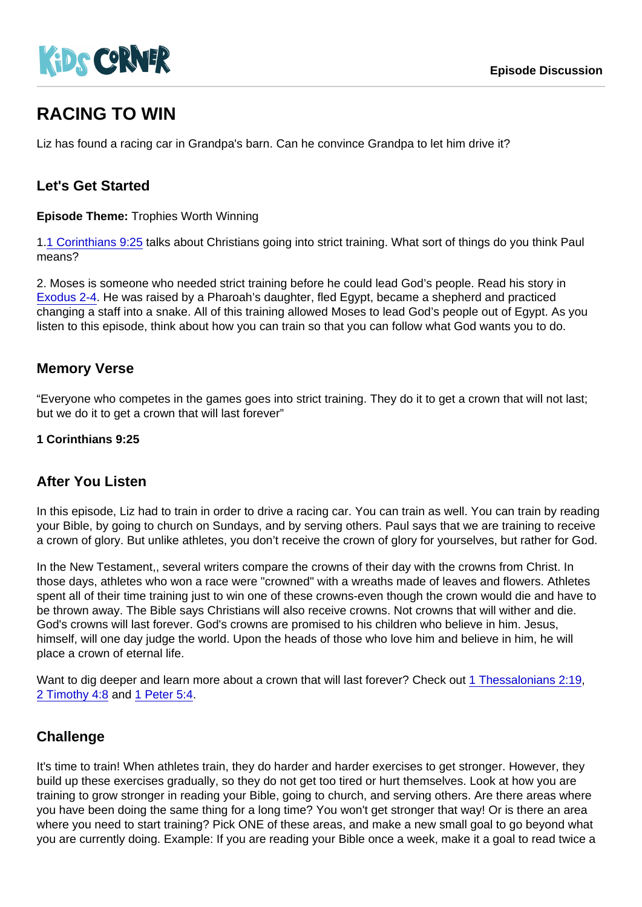# RACING TO WIN

Liz has found a racing car in Grandpa's barn. Can he convince Grandpa to let him drive it?

## Let's Get Started

Episode Theme: Trophies Worth Winning

1[.1 Corinthians 9:25](https://www.biblegateway.com/passage/?search=1+Corinthians+9:25) talks about Christians going into strict training. What sort of things do you think Paul means?

2. Moses is someone who needed strict training before he could lead God's people. Read his story in [Exodus 2-4.](https://www.biblegateway.com/passage/?search=Exodus+2-4) He was raised by a Pharoah's daughter, fled Egypt, became a shepherd and practiced changing a staff into a snake. All of this training allowed Moses to lead God's people out of Egypt. As you listen to this episode, think about how you can train so that you can follow what God wants you to do.

## Memory Verse

"Everyone who competes in the games goes into strict training. They do it to get a crown that will not last; but we do it to get a crown that will last forever"

1 Corinthians 9:25

#### After You Listen

In this episode, Liz had to train in order to drive a racing car. You can train as well. You can train by reading your Bible, by going to church on Sundays, and by serving others. Paul says that we are training to receive a crown of glory. But unlike athletes, you don't receive the crown of glory for yourselves, but rather for God.

In the New Testament,, several writers compare the crowns of their day with the crowns from Christ. In those days, athletes who won a race were "crowned" with a wreaths made of leaves and flowers. Athletes spent all of their time training just to win one of these crowns-even though the crown would die and have to be thrown away. The Bible says Christians will also receive crowns. Not crowns that will wither and die. God's crowns will last forever. God's crowns are promised to his children who believe in him. Jesus, himself, will one day judge the world. Upon the heads of those who love him and believe in him, he will place a crown of eternal life.

Want to dig deeper and learn more about a crown that will last forever? Check out [1 Thessalonians 2:19,](https://www.biblegateway.com/passage/?search=1+Thessalonians+2:19) [2 Timothy 4:8](https://www.biblegateway.com/passage/?search=2+Timothy+4:8) and [1 Peter 5:4.](https://www.biblegateway.com/passage/?search=1+Peter+5:4)

## **Challenge**

It's time to train! When athletes train, they do harder and harder exercises to get stronger. However, they build up these exercises gradually, so they do not get too tired or hurt themselves. Look at how you are training to grow stronger in reading your Bible, going to church, and serving others. Are there areas where you have been doing the same thing for a long time? You won't get stronger that way! Or is there an area where you need to start training? Pick ONE of these areas, and make a new small goal to go beyond what you are currently doing. Example: If you are reading your Bible once a week, make it a goal to read twice a